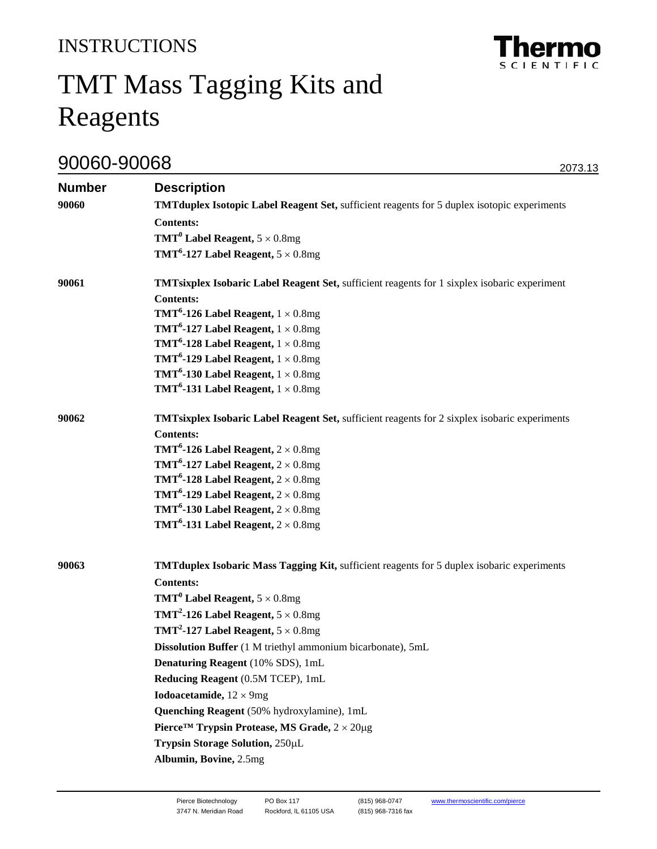# **INSTRUCTIONS**



# TMT Mass Tagging Kits and Reagents

# 90060-90068 2073.13

| <b>Number</b> | <b>Description</b>                                                                                   |
|---------------|------------------------------------------------------------------------------------------------------|
| 90060         | <b>TMTduplex Isotopic Label Reagent Set, sufficient reagents for 5 duplex isotopic experiments</b>   |
|               | <b>Contents:</b>                                                                                     |
|               | <b>TMT<sup>0</sup> Label Reagent,</b> $5 \times 0.8$ mg                                              |
|               | <b>TMT<sup>6</sup>-127 Label Reagent, <math>5 \times 0.8</math>mg</b>                                |
| 90061         | <b>TMTsixplex Isobaric Label Reagent Set, sufficient reagents for 1 sixplex isobaric experiment</b>  |
|               | <b>Contents:</b>                                                                                     |
|               | <b>TMT<sup>6</sup>-126 Label Reagent,</b> $1 \times 0.8$ mg                                          |
|               | <b>TMT<sup>6</sup>-127 Label Reagent,</b> $1 \times 0.8$ mg                                          |
|               | <b>TMT<sup>6</sup>-128 Label Reagent,</b> $1 \times 0.8$ mg                                          |
|               | <b>TMT<sup>6</sup>-129 Label Reagent,</b> $1 \times 0.8$ mg                                          |
|               | <b>TMT<sup>6</sup>-130 Label Reagent,</b> $1 \times 0.8$ mg                                          |
|               | <b>TMT<sup>6</sup>-131 Label Reagent,</b> $1 \times 0.8$ mg                                          |
| 90062         | <b>TMTsixplex Isobaric Label Reagent Set, sufficient reagents for 2 sixplex isobaric experiments</b> |
|               | <b>Contents:</b>                                                                                     |
|               | TMT <sup>6</sup> -126 Label Reagent, $2 \times 0.8$ mg                                               |
|               | TMT <sup>6</sup> -127 Label Reagent, $2 \times 0.8$ mg                                               |
|               | <b>TMT<sup>6</sup>-128 Label Reagent,</b> $2 \times 0.8$ mg                                          |
|               | TMT <sup>6</sup> -129 Label Reagent, $2 \times 0.8$ mg                                               |
|               | <b>TMT<sup>6</sup>-130 Label Reagent,</b> $2 \times 0.8$ mg                                          |
|               | <b>TMT<sup>6</sup>-131 Label Reagent,</b> $2 \times 0.8$ mg                                          |
| 90063         | <b>TMTduplex Isobaric Mass Tagging Kit, sufficient reagents for 5 duplex isobaric experiments</b>    |
|               |                                                                                                      |
|               | <b>Contents:</b>                                                                                     |
|               | <b>TMT<sup>0</sup> Label Reagent,</b> $5 \times 0.8$ mg                                              |
|               | TMT <sup>2</sup> -126 Label Reagent, $5 \times 0.8$ mg                                               |
|               | <b>TMT<sup>2</sup>-127 Label Reagent, <math>5 \times 0.8</math>mg</b>                                |
|               | Dissolution Buffer (1 M triethyl ammonium bicarbonate), 5mL                                          |
|               | Denaturing Reagent (10% SDS), 1mL                                                                    |
|               | Reducing Reagent (0.5M TCEP), 1mL                                                                    |
|               | <b>Iodoacetamide</b> , $12 \times 9$ mg                                                              |
|               | Quenching Reagent (50% hydroxylamine), 1mL                                                           |
|               | Pierce <sup>TM</sup> Trypsin Protease, MS Grade, $2 \times 20 \mu$ g                                 |
|               | Trypsin Storage Solution, 250µL                                                                      |
|               | Albumin, Bovine, 2.5mg                                                                               |
|               |                                                                                                      |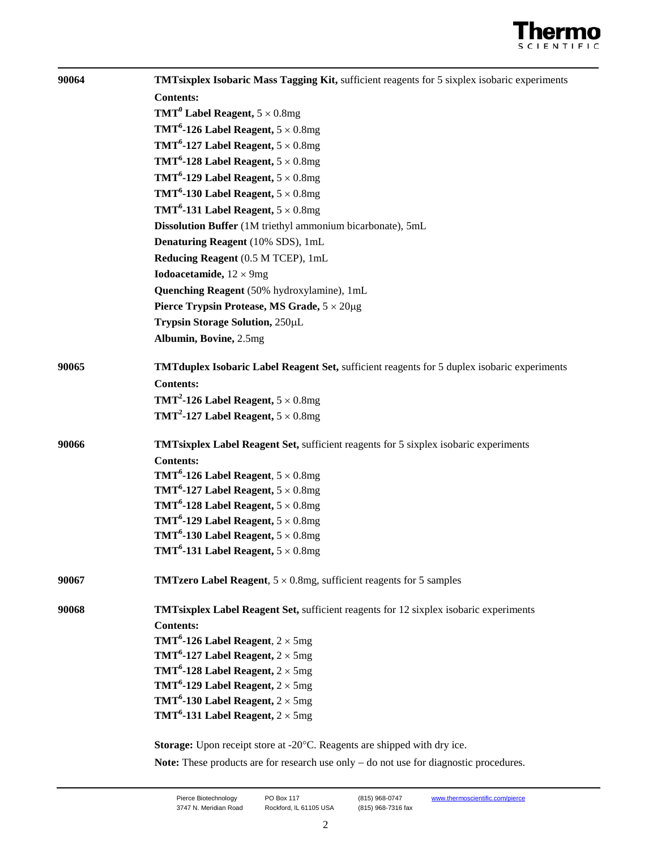

| 90064 | <b>TMTsixplex Isobaric Mass Tagging Kit, sufficient reagents for 5 sixplex isobaric experiments</b> |
|-------|-----------------------------------------------------------------------------------------------------|
|       | <b>Contents:</b>                                                                                    |
|       | <b>TMT<sup>0</sup> Label Reagent,</b> $5 \times 0.8$ mg                                             |
|       | <b>TMT<sup>6</sup>-126 Label Reagent</b> , $5 \times 0.8$ mg                                        |
|       | <b>TMT<sup>6</sup>-127 Label Reagent, <math>5 \times 0.8</math>mg</b>                               |
|       | <b>TMT<sup>6</sup>-128 Label Reagent, <math>5 \times 0.8</math>mg</b>                               |
|       | <b>TMT<sup>6</sup>-129 Label Reagent,</b> $5 \times 0.8$ mg                                         |
|       | <b>TMT<sup>6</sup>-130 Label Reagent, <math>5 \times 0.8</math>mg</b>                               |
|       | <b>TMT<sup>6</sup>-131 Label Reagent, <math>5 \times 0.8</math>mg</b>                               |
|       | Dissolution Buffer (1M triethyl ammonium bicarbonate), 5mL                                          |
|       | Denaturing Reagent (10% SDS), 1mL                                                                   |
|       | Reducing Reagent (0.5 M TCEP), 1mL                                                                  |
|       | <b>Iodoacetamide</b> , $12 \times 9$ mg                                                             |
|       | Quenching Reagent (50% hydroxylamine), 1mL                                                          |
|       | Pierce Trypsin Protease, MS Grade, $5 \times 20\mu g$                                               |
|       | Trypsin Storage Solution, 250µL                                                                     |
|       | Albumin, Bovine, 2.5mg                                                                              |
| 90065 | <b>TMTduplex Isobaric Label Reagent Set, sufficient reagents for 5 duplex isobaric experiments</b>  |
|       | <b>Contents:</b>                                                                                    |
|       | <b>TMT<sup>2</sup>-126 Label Reagent, <math>5 \times 0.8</math>mg</b>                               |
|       | <b>TMT<sup>2</sup>-127 Label Reagent, <math>5 \times 0.8</math>mg</b>                               |
| 90066 | <b>TMTsixplex Label Reagent Set, sufficient reagents for 5 sixplex isobaric experiments</b>         |
|       | <b>Contents:</b>                                                                                    |
|       | <b>TMT<sup>6</sup>-126 Label Reagent</b> , $5 \times 0.8$ mg                                        |
|       | <b>TMT<sup>6</sup>-127 Label Reagent,</b> $5 \times 0.8$ mg                                         |
|       | <b>TMT<sup>6</sup>-128 Label Reagent,</b> $5 \times 0.8$ mg                                         |
|       | <b>TMT<sup>6</sup>-129 Label Reagent, <math>5 \times 0.8</math>mg</b>                               |
|       | <b>TMT<sup>6</sup>-130 Label Reagent,</b> $5 \times 0.8$ mg                                         |
|       | <b>TMT<sup>6</sup>-131 Label Reagent,</b> $5 \times 0.8$ mg                                         |
| 90067 | <b>TMTzero Label Reagent</b> , $5 \times 0.8$ mg, sufficient reagents for 5 samples                 |
| 90068 | <b>TMTsixplex Label Reagent Set, sufficient reagents for 12 sixplex isobaric experiments</b>        |
|       | <b>Contents:</b>                                                                                    |
|       | <b>TMT<sup>6</sup>-126 Label Reagent</b> , $2 \times 5$ mg                                          |
|       | <b>TMT<sup>6</sup>-127 Label Reagent,</b> $2 \times 5$ mg                                           |
|       | <b>TMT<sup>6</sup>-128 Label Reagent,</b> $2 \times 5$ mg                                           |
|       | TMT <sup>6</sup> -129 Label Reagent, $2 \times 5$ mg                                                |
|       | <b>TMT<sup>6</sup>-130 Label Reagent,</b> $2 \times 5$ mg                                           |
|       | <b>TMT<sup>6</sup>-131 Label Reagent,</b> $2 \times 5$ mg                                           |
|       | Storage: Upon receipt store at -20°C. Reagents are shipped with dry ice.                            |
|       | Note: These products are for research use only $-$ do not use for diagnostic procedures.            |
|       |                                                                                                     |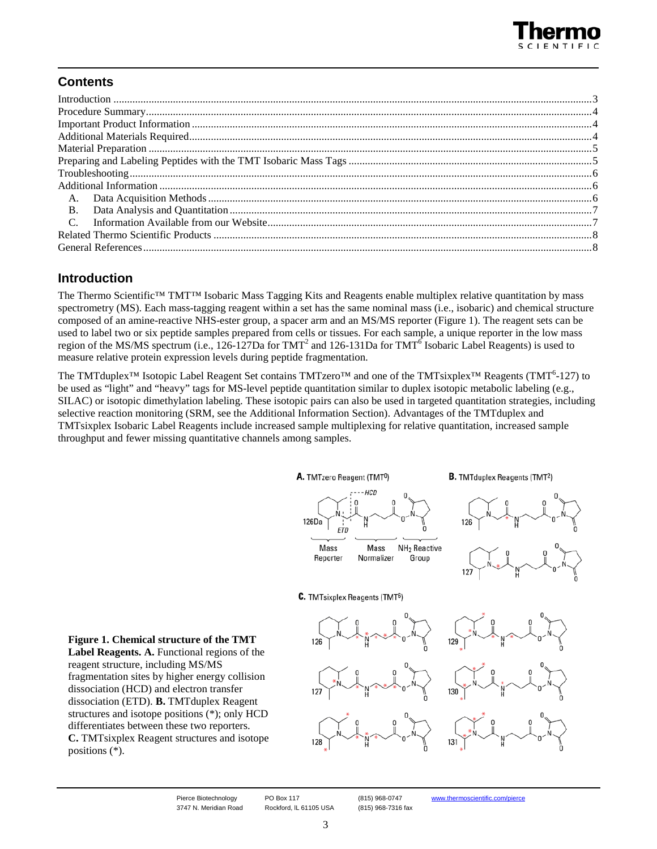# **Contents**

# <span id="page-2-0"></span>**Introduction**

The Thermo Scientific<sup>™</sup> TMT<sup>™</sup> Isobaric Mass Tagging Kits and Reagents enable multiplex relative quantitation by mass spectrometry (MS). Each mass-tagging reagent within a set has the same nominal mass (i.e., isobaric) and chemical structure composed of an amine-reactive NHS-ester group, a spacer arm and an MS/MS reporter (Figure 1). The reagent sets can be used to label two or six peptide samples prepared from cells or tissues. For each sample, a unique reporter in the low mass region of the MS/MS spectrum (i.e., 126-127Da for TMT<sup>2</sup> and 126-131Da for TMT<sup>6</sup> Isobaric Label Reagents) is used to measure relative protein expression levels during peptide fragmentation.

The TMTduplex<sup>™</sup> Isotopic Label Reagent Set contains TMTzero™ and one of the TMTsixplex™ Reagents (TMT<sup>6</sup>-127) to be used as "light" and "heavy" tags for MS-level peptide quantitation similar to duplex isotopic metabolic labeling (e.g., SILAC) or isotopic dimethylation labeling. These isotopic pairs can also be used in targeted quantitation strategies, including selective reaction monitoring (SRM, see the Additional Information Section). Advantages of the TMTduplex and TMTsixplex Isobaric Label Reagents include increased sample multiplexing for relative quantitation, increased sample throughput and fewer missing quantitative channels among samples.









#### C. TMTsixplex Reagents (TMT6)



**Figure 1. Chemical structure of the TMT Label Reagents. A.** Functional regions of the reagent structure, including MS/MS fragmentation sites by higher energy collision dissociation (HCD) and electron transfer dissociation (ETD). **B.** TMTduplex Reagent structures and isotope positions (\*); only HCD differentiates between these two reporters. **C.** TMTsixplex Reagent structures and isotope positions (\*).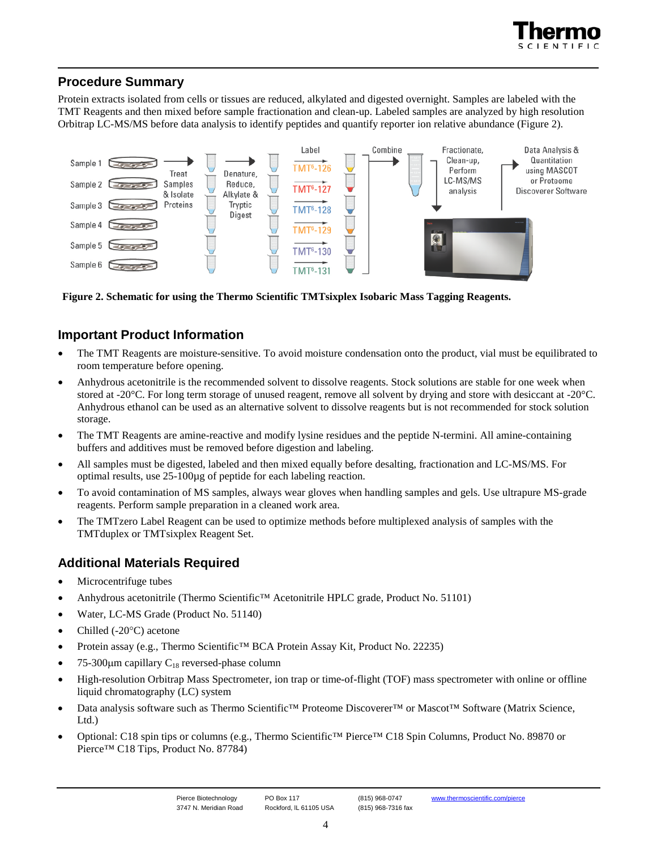

# <span id="page-3-0"></span>**Procedure Summary**

Protein extracts isolated from cells or tissues are reduced, alkylated and digested overnight. Samples are labeled with the TMT Reagents and then mixed before sample fractionation and clean-up. Labeled samples are analyzed by high resolution Orbitrap LC-MS/MS before data analysis to identify peptides and quantify reporter ion relative abundance (Figure 2).



**Figure 2. Schematic for using the Thermo Scientific TMTsixplex Isobaric Mass Tagging Reagents.**

# <span id="page-3-1"></span>**Important Product Information**

- The TMT Reagents are moisture-sensitive. To avoid moisture condensation onto the product, vial must be equilibrated to room temperature before opening.
- Anhydrous acetonitrile is the recommended solvent to dissolve reagents. Stock solutions are stable for one week when stored at -20°C. For long term storage of unused reagent, remove all solvent by drying and store with desiccant at -20°C. Anhydrous ethanol can be used as an alternative solvent to dissolve reagents but is not recommended for stock solution storage.
- The TMT Reagents are amine-reactive and modify lysine residues and the peptide N-termini. All amine-containing buffers and additives must be removed before digestion and labeling.
- All samples must be digested, labeled and then mixed equally before desalting, fractionation and LC-MS/MS. For optimal results, use 25-100µg of peptide for each labeling reaction.
- To avoid contamination of MS samples, always wear gloves when handling samples and gels. Use ultrapure MS-grade reagents. Perform sample preparation in a cleaned work area.
- The TMTzero Label Reagent can be used to optimize methods before multiplexed analysis of samples with the TMTduplex or TMTsixplex Reagent Set.

# <span id="page-3-2"></span>**Additional Materials Required**

- Microcentrifuge tubes
- Anhydrous acetonitrile (Thermo Scientific™ Acetonitrile HPLC grade, Product No. 51101)
- Water, LC-MS Grade (Product No. 51140)
- Chilled (- $20^{\circ}$ C) acetone
- Protein assay (e.g., Thermo Scientific™ BCA Protein Assay Kit, Product No. 22235)
- 75-300 $\mu$ m capillary C<sub>18</sub> reversed-phase column
- High-resolution Orbitrap Mass Spectrometer, ion trap or time-of-flight (TOF) mass spectrometer with online or offline liquid chromatography (LC) system
- Data analysis software such as Thermo Scientific™ Proteome Discoverer™ or Mascot™ Software (Matrix Science, Ltd.)
- Optional: C18 spin tips or columns (e.g., Thermo Scientific™ Pierce™ C18 Spin Columns, Product No. 89870 or Pierce™ C18 Tips, Product No. 87784)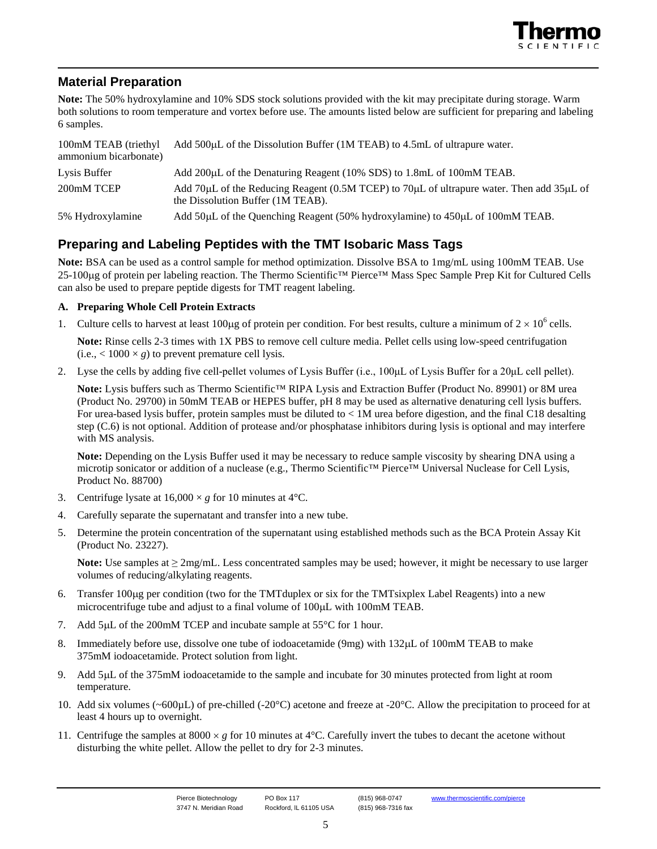

# <span id="page-4-0"></span>**Material Preparation**

**Note:** The 50% hydroxylamine and 10% SDS stock solutions provided with the kit may precipitate during storage. Warm both solutions to room temperature and vortex before use. The amounts listed below are sufficient for preparing and labeling 6 samples.

| 100mM TEAB (triethyl)<br>ammonium bicarbonate) | Add 500μL of the Dissolution Buffer (1M TEAB) to 4.5mL of ultrapure water.                                                                       |
|------------------------------------------------|--------------------------------------------------------------------------------------------------------------------------------------------------|
| Lysis Buffer                                   | Add 200μL of the Denaturing Reagent (10% SDS) to 1.8mL of 100mM TEAB.                                                                            |
| 200mM TCEP                                     | Add $70 \mu L$ of the Reducing Reagent (0.5M TCEP) to $70 \mu L$ of ultrapure water. Then add $35 \mu L$ of<br>the Dissolution Buffer (1M TEAB). |
| 5% Hydroxylamine                               | Add 50μL of the Quenching Reagent (50% hydroxylamine) to 450μL of 100mM TEAB.                                                                    |

## <span id="page-4-1"></span>**Preparing and Labeling Peptides with the TMT Isobaric Mass Tags**

**Note:** BSA can be used as a control sample for method optimization. Dissolve BSA to 1mg/mL using 100mM TEAB. Use 25-100µg of protein per labeling reaction. The Thermo Scientific™ Pierce™ Mass Spec Sample Prep Kit for Cultured Cells can also be used to prepare peptide digests for TMT reagent labeling.

#### **A. Preparing Whole Cell Protein Extracts**

1. Culture cells to harvest at least 100µg of protein per condition. For best results, culture a minimum of  $2 \times 10^6$  cells.

**Note:** Rinse cells 2-3 times with 1X PBS to remove cell culture media. Pellet cells using low-speed centrifugation  $(i.e.,  $1000 \times g$ ) to prevent premature cell lysis.$ 

2. Lyse the cells by adding five cell-pellet volumes of Lysis Buffer (i.e., 100μL of Lysis Buffer for a 20μL cell pellet).

**Note:** Lysis buffers such as Thermo Scientific™ RIPA Lysis and Extraction Buffer (Product No. 89901) or 8M urea (Product No. 29700) in 50mM TEAB or HEPES buffer, pH 8 may be used as alternative denaturing cell lysis buffers. For urea-based lysis buffer, protein samples must be diluted to < 1M urea before digestion, and the final C18 desalting step (C.6) is not optional. Addition of protease and/or phosphatase inhibitors during lysis is optional and may interfere with MS analysis.

**Note:** Depending on the Lysis Buffer used it may be necessary to reduce sample viscosity by shearing DNA using a microtip sonicator or addition of a nuclease (e.g., Thermo Scientific™ Pierce™ Universal Nuclease for Cell Lysis, Product No. 88700)

- 3. Centrifuge lysate at  $16,000 \times g$  for 10 minutes at 4<sup>o</sup>C.
- 4. Carefully separate the supernatant and transfer into a new tube.
- 5. Determine the protein concentration of the supernatant using established methods such as the BCA Protein Assay Kit (Product No. 23227).

**Note:** Use samples at ≥ 2mg/mL. Less concentrated samples may be used; however, it might be necessary to use larger volumes of reducing/alkylating reagents.

- 6. Transfer 100µg per condition (two for the TMTduplex or six for the TMTsixplex Label Reagents) into a new microcentrifuge tube and adjust to a final volume of 100µL with 100mM TEAB.
- 7. Add 5µL of the 200mM TCEP and incubate sample at 55°C for 1 hour.
- 8. Immediately before use, dissolve one tube of iodoacetamide (9mg) with 132 $\mu$ L of 100mM TEAB to make 375mM iodoacetamide. Protect solution from light.
- 9. Add 5µL of the 375mM iodoacetamide to the sample and incubate for 30 minutes protected from light at room temperature.
- 10. Add six volumes (~600 $\mu$ L) of pre-chilled (-20 $^{\circ}$ C) acetone and freeze at -20 $^{\circ}$ C. Allow the precipitation to proceed for at least 4 hours up to overnight.
- 11. Centrifuge the samples at  $8000 \times g$  for 10 minutes at  $4^{\circ}$ C. Carefully invert the tubes to decant the acetone without disturbing the white pellet. Allow the pellet to dry for 2-3 minutes.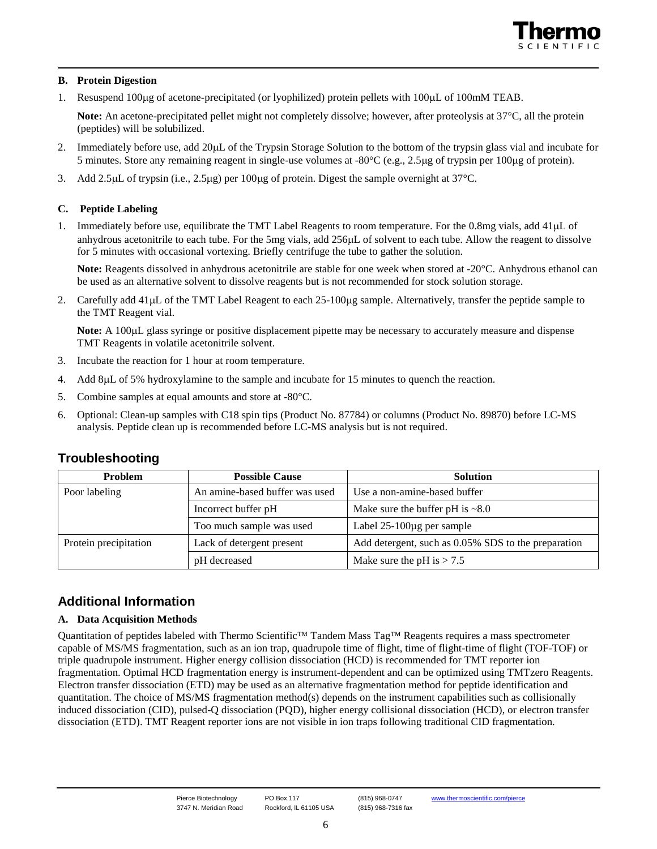

#### **B. Protein Digestion**

1. Resuspend 100µg of acetone-precipitated (or lyophilized) protein pellets with 100µL of 100mM TEAB.

**Note:** An acetone-precipitated pellet might not completely dissolve; however, after proteolysis at 37°C, all the protein (peptides) will be solubilized.

- 2. Immediately before use, add 20µL of the Trypsin Storage Solution to the bottom of the trypsin glass vial and incubate for 5 minutes. Store any remaining reagent in single-use volumes at -80°C (e.g., 2.5µg of trypsin per 100µg of protein).
- 3. Add 2.5µL of trypsin (i.e., 2.5µg) per 100µg of protein. Digest the sample overnight at 37°C.

#### **C. Peptide Labeling**

1. Immediately before use, equilibrate the TMT Label Reagents to room temperature. For the 0.8mg vials, add 41µL of anhydrous acetonitrile to each tube. For the 5mg vials, add 256µL of solvent to each tube. Allow the reagent to dissolve for 5 minutes with occasional vortexing. Briefly centrifuge the tube to gather the solution.

**Note:** Reagents dissolved in anhydrous acetonitrile are stable for one week when stored at -20°C. Anhydrous ethanol can be used as an alternative solvent to dissolve reagents but is not recommended for stock solution storage.

2. Carefully add  $41 \mu$ L of the TMT Label Reagent to each  $25$ -100 $\mu$ g sample. Alternatively, transfer the peptide sample to the TMT Reagent vial.

**Note:** A 100µL glass syringe or positive displacement pipette may be necessary to accurately measure and dispense TMT Reagents in volatile acetonitrile solvent.

- 3. Incubate the reaction for 1 hour at room temperature.
- 4. Add 8µL of 5% hydroxylamine to the sample and incubate for 15 minutes to quench the reaction.
- 5. Combine samples at equal amounts and store at -80°C.
- 6. Optional: Clean-up samples with C18 spin tips (Product No. 87784) or columns (Product No. 89870) before LC-MS analysis. Peptide clean up is recommended before LC-MS analysis but is not required.

## <span id="page-5-0"></span>**Troubleshooting**

| <b>Problem</b>                                     | <b>Possible Cause</b>    | <b>Solution</b>                                     |
|----------------------------------------------------|--------------------------|-----------------------------------------------------|
| An amine-based buffer was used<br>Poor labeling    |                          | Use a non-amine-based buffer                        |
|                                                    | Incorrect buffer pH      | Make sure the buffer pH is $\sim 8.0$               |
|                                                    | Too much sample was used | Label $25-100\mu$ g per sample                      |
| Protein precipitation<br>Lack of detergent present |                          | Add detergent, such as 0.05% SDS to the preparation |
|                                                    | pH decreased             | Make sure the pH is $> 7.5$                         |

# <span id="page-5-1"></span>**Additional Information**

#### <span id="page-5-2"></span>**A. Data Acquisition Methods**

Quantitation of peptides labeled with Thermo Scientific™ Tandem Mass Tag™ Reagents requires a mass spectrometer capable of MS/MS fragmentation, such as an ion trap, quadrupole time of flight, time of flight-time of flight (TOF-TOF) or triple quadrupole instrument. Higher energy collision dissociation (HCD) is recommended for TMT reporter ion fragmentation. Optimal HCD fragmentation energy is instrument-dependent and can be optimized using TMTzero Reagents. Electron transfer dissociation (ETD) may be used as an alternative fragmentation method for peptide identification and quantitation. The choice of MS/MS fragmentation method(s) depends on the instrument capabilities such as collisionally induced dissociation (CID), pulsed-Q dissociation (PQD), higher energy collisional dissociation (HCD), or electron transfer dissociation (ETD). TMT Reagent reporter ions are not visible in ion traps following traditional CID fragmentation.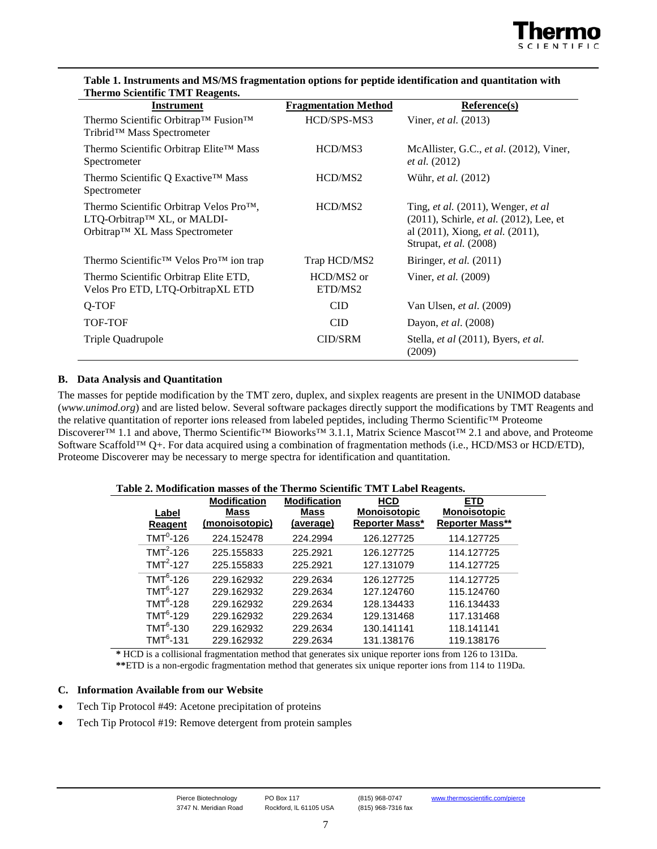

| Instrument                                                                                              | <b>Fragmentation Method</b> | Reference(s)                                                                                                                                                     |
|---------------------------------------------------------------------------------------------------------|-----------------------------|------------------------------------------------------------------------------------------------------------------------------------------------------------------|
| Thermo Scientific Orbitrap™ Fusion™<br>Tribrid <sup>™</sup> Mass Spectrometer                           | HCD/SPS-MS3                 | Viner, <i>et al.</i> (2013)                                                                                                                                      |
| Thermo Scientific Orbitrap Elite™ Mass<br>Spectrometer                                                  | HCD/MS3                     | McAllister, G.C., et al. (2012), Viner,<br><i>et al.</i> (2012)                                                                                                  |
| Thermo Scientific Q Exactive™ Mass<br>Spectrometer                                                      | HCD/MS2                     | Wühr, et al. (2012)                                                                                                                                              |
| Thermo Scientific Orbitrap Velos Pro™,<br>LTQ-Orbitrap™ XL, or MALDI-<br>Orbitrap™ XL Mass Spectrometer | HCD/MS2                     | Ting, et al. (2011), Wenger, et al.<br>(2011), Schirle, et al. (2012), Lee, et<br>al $(2011)$ , Xiong, <i>et al.</i> $(2011)$ ,<br>Strupat, <i>et al.</i> (2008) |
| Thermo Scientific <sup>TM</sup> Velos Pro <sup>TM</sup> ion trap                                        | Trap HCD/MS2                | Biringer, <i>et al.</i> $(2011)$                                                                                                                                 |
| Thermo Scientific Orbitrap Elite ETD,<br>Velos Pro ETD, LTQ-OrbitrapXL ETD                              | HCD/MS2 or<br>ETD/MS2       | Viner, <i>et al.</i> (2009)                                                                                                                                      |
| Q-TOF                                                                                                   | $\text{CID}$                | Van Ulsen, <i>et al.</i> (2009)                                                                                                                                  |
| <b>TOF-TOF</b>                                                                                          | CID                         | Dayon, <i>et al.</i> (2008)                                                                                                                                      |
| Triple Quadrupole                                                                                       | <b>CID/SRM</b>              | Stella, et al (2011), Byers, et al.<br>(2009)                                                                                                                    |

#### **Table 1. Instruments and MS/MS fragmentation options for peptide identification and quantitation with Thermo Scientific TMT Reagents.**

#### <span id="page-6-0"></span>**B. Data Analysis and Quantitation**

The masses for peptide modification by the TMT zero, duplex, and sixplex reagents are present in the UNIMOD database (*www.unimod.org*) and are listed below. Several software packages directly support the modifications by TMT Reagents and the relative quantitation of reporter ions released from labeled peptides, including Thermo Scientific™ Proteome Discoverer<sup>™</sup> 1.1 and above, Thermo Scientific<sup>™</sup> Bioworks™ 3.1.1, Matrix Science Mascot™ 2.1 and above, and Proteome Software Scaffold™ Q+. For data acquired using a combination of fragmentation methods (i.e., HCD/MS3 or HCD/ETD), Proteome Discoverer may be necessary to merge spectra for identification and quantitation.

#### **Table 2. Modification masses of the Thermo Scientific TMT Label Reagents.**

| Label<br>Reagent | <b>Modification</b><br>Mass<br>(monoisotopic) | <b>Modification</b><br>Mass<br>(average) | <b>HCD</b><br><b>Monoisotopic</b><br><b>Reporter Mass*</b> | ETD<br><b>Monoisotopic</b><br><b>Reporter Mass**</b> |
|------------------|-----------------------------------------------|------------------------------------------|------------------------------------------------------------|------------------------------------------------------|
| $TMT0 - 126$     | 224.152478                                    | 224.2994                                 | 126.127725                                                 | 114.127725                                           |
| $TMT2 - 126$     | 225.155833                                    | 225.2921                                 | 126.127725                                                 | 114.127725                                           |
| $TMT2 - 127$     | 225.155833                                    | 225.2921                                 | 127.131079                                                 | 114.127725                                           |
| $TMT6 - 126$     | 229.162932                                    | 229.2634                                 | 126.127725                                                 | 114.127725                                           |
| $TMT6 - 127$     | 229.162932                                    | 229.2634                                 | 127.124760                                                 | 115.124760                                           |
| $TMT6$ -128      | 229.162932                                    | 229.2634                                 | 128.134433                                                 | 116.134433                                           |
| $TMT6 - 129$     | 229.162932                                    | 229.2634                                 | 129.131468                                                 | 117.131468                                           |
| $TMT6 - 130$     | 229.162932                                    | 229.2634                                 | 130.141141                                                 | 118.141141                                           |
| $TMT6$ -131      | 229.162932                                    | 229.2634                                 | 131.138176                                                 | 119.138176                                           |

**\*** HCD is a collisional fragmentation method that generates six unique reporter ions from 126 to 131Da. **\*\***ETD is a non-ergodic fragmentation method that generates six unique reporter ions from 114 to 119Da.

#### <span id="page-6-1"></span>**C. Information Available from our Website**

- Tech Tip Protocol #49: Acetone precipitation of proteins
- Tech Tip Protocol #19: Remove detergent from protein samples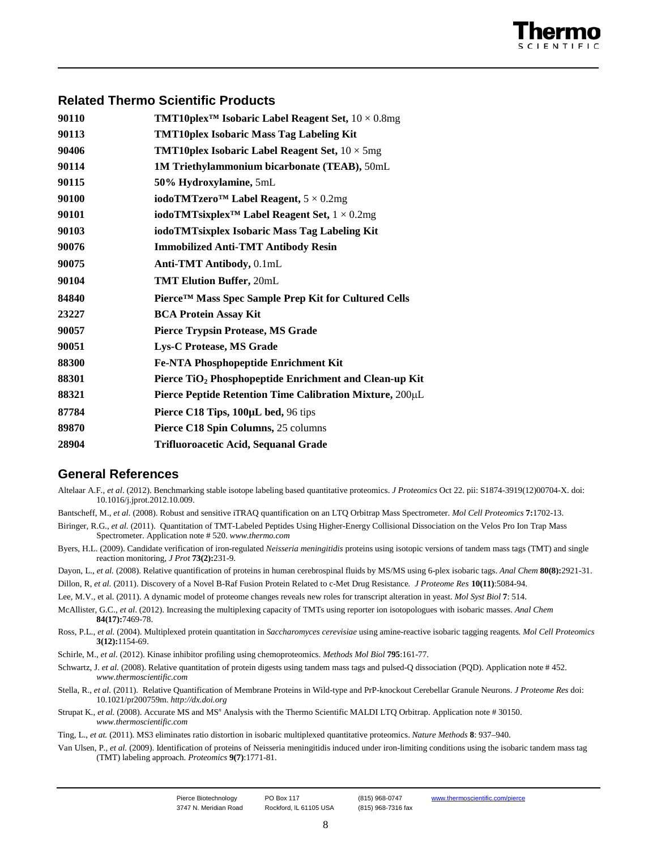

# <span id="page-7-0"></span>**Related Thermo Scientific Products**

| 90110 | <b>TMT10plex<sup>TM</sup></b> Isobaric Label Reagent Set, $10 \times 0.8$ mg |
|-------|------------------------------------------------------------------------------|
| 90113 | <b>TMT10plex Isobaric Mass Tag Labeling Kit</b>                              |
| 90406 | <b>TMT10plex Isobaric Label Reagent Set,</b> $10 \times 5mg$                 |
| 90114 | 1M Triethylammonium bicarbonate (TEAB), 50mL                                 |
| 90115 | 50% Hydroxylamine, 5mL                                                       |
| 90100 | iodoTMTzero <sup>TM</sup> Label Reagent, $5 \times 0.2$ mg                   |
| 90101 | iodoTMTsixplex <sup>TM</sup> Label Reagent Set, $1 \times 0.2$ mg            |
| 90103 | iodoTMTsixplex Isobaric Mass Tag Labeling Kit                                |
| 90076 | <b>Immobilized Anti-TMT Antibody Resin</b>                                   |
| 90075 | Anti-TMT Antibody, 0.1mL                                                     |
| 90104 | <b>TMT Elution Buffer, 20mL</b>                                              |
| 84840 | Pierce™ Mass Spec Sample Prep Kit for Cultured Cells                         |
| 23227 | <b>BCA Protein Assay Kit</b>                                                 |
| 90057 | <b>Pierce Trypsin Protease, MS Grade</b>                                     |
| 90051 | Lys-C Protease, MS Grade                                                     |
| 88300 | <b>Fe-NTA Phosphopeptide Enrichment Kit</b>                                  |
| 88301 | Pierce TiO <sub>2</sub> Phosphopeptide Enrichment and Clean-up Kit           |
| 88321 | Pierce Peptide Retention Time Calibration Mixture, 200µL                     |
| 87784 | Pierce C18 Tips, 100µL bed, 96 tips                                          |
| 89870 | Pierce C18 Spin Columns, 25 columns                                          |
| 28904 | Trifluoroacetic Acid, Sequanal Grade                                         |

## <span id="page-7-1"></span>**General References**

Altelaar A.F., *et al*. (2012). Benchmarking stable isotope labeling based quantitative proteomics. *J Proteomics* Oct 22. pii: S1874-3919(12)00704-X. doi: 10.1016/j.jprot.2012.10.009.

Bantscheff, M., *et al.* (2008). Robust and sensitive iTRAQ quantification on an LTQ Orbitrap Mass Spectrometer. *Mol Cell Proteomics* **7:**1702-13.

- Biringer, R.G., *et al.* (2011). Quantitation of TMT-Labeled Peptides Using Higher-Energy Collisional Dissociation on the Velos Pro Ion Trap Mass Spectrometer. Application note # 520. *[www.thermo.com](http://www.thermo.com/)*
- Byers, H.L. (2009). Candidate verification of iron-regulated *Neisseria meningitidis* proteins using isotopic versions of tandem mass tags (TMT) and single reaction monitoring, *J Prot* **73(2):**231-9.
- Dayon, L., *et al.* (2008). Relative quantification of proteins in human cerebrospinal fluids by MS/MS using 6-plex isobaric tags. *Anal Chem* **80(8):**2921-31.
- [Dillon, R,](http://www.ncbi.nlm.nih.gov/pubmed?term=%22Dillon%20R%22%5BAuthor%5D) *et al.* (2011). Discovery of a Novel B-Raf Fusion Protein Related to c-Met Drug Resistance*. [J Proteome Res](http://www.ncbi.nlm.nih.gov/pubmed/21936566)* **10(11)**:5084-94.
- Lee, M.V., et al. (2011). A dynamic model of proteome changes reveals new roles for transcript alteration in yeast. *Mol Syst Biol* **7**: 514.
- McAllister, G.C., *et al*. (2012). Increasing the multiplexing capacity of TMTs using reporter ion isotopologues with isobaric masses. *Anal Chem* **84(17):**7469-78.
- Ross, P.L., *et al.* (2004). Multiplexed protein quantitation in *Saccharomyces cerevisiae* using amine-reactive isobaric tagging reagents*. Mol Cell Proteomics* **3(12):**1154-69.
- [Schirle, M.,](http://www.ncbi.nlm.nih.gov/pubmed?term=%22Schirle%20M%22%5BAuthor%5D) *et al.* (2012). Kinase inhibitor profiling using chemoproteomics. *Methods Mol Biol* **795**:161-77.
- Schwartz, J. et al. (2008). Relative quantitation of protein digests using tandem mass tags and pulsed-Q dissociation (PQD). Application note # 452. *www.thermoscientific.com*
- Stella, R., *et al.* (2011). Relative Quantification of Membrane Proteins in Wild-type and PrP-knockout Cerebellar Granule Neurons. *J Proteome Res* doi: 10.1021/pr200759m. *http://dx.doi.org*
- Strupat K., *et al.* (2008). Accurate MS and MS<sup>n</sup> Analysis with the Thermo Scientific MALDI LTQ Orbitrap. Application note # 30150. *www.thermoscientific.com*
- Ting, L., *et at.* (2011). MS3 eliminates ratio distortion in isobaric multiplexed quantitative proteomics. *Nature Methods* **8**: 937–940.
- Van Ulsen, P., *et al.* (2009). Identification of proteins of Neisseria meningitidis induced under iron-limiting conditions using the isobaric tandem mass tag (TMT) labeling approach. *Proteomics* **9(7)**:1771-81.